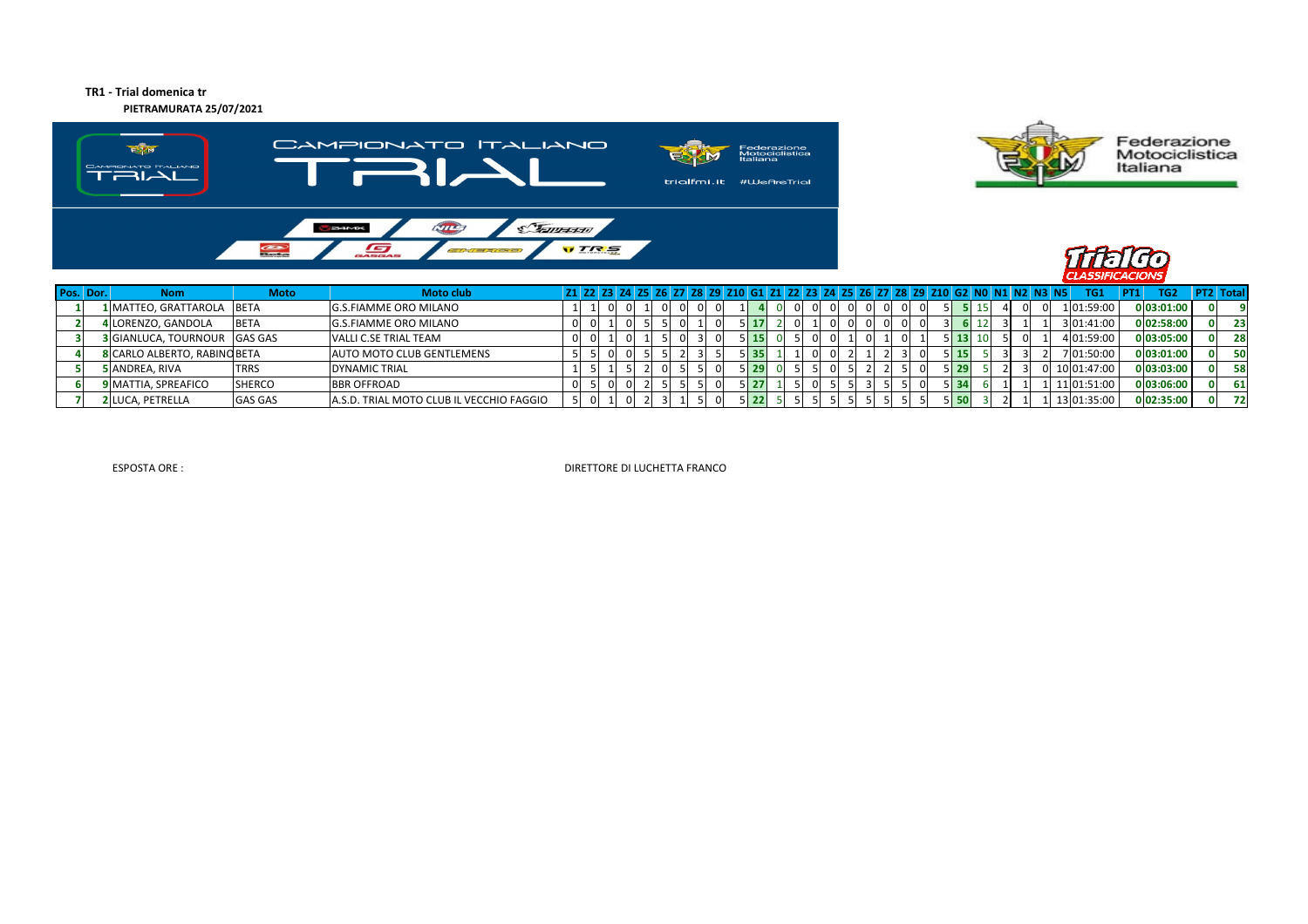## **TR1 - Trial domenica trPIETRAMURATA 25/07/2021**







| Pos. Dor. | <b>Nom</b>                          | <b>Moto</b>    | <b>Moto club</b>                         |  |          |  |  |     | 61 71 72 73 74 75 76 771 |  |          | l 78 l<br>79 I | Z10   G2 |                  |    |  | TG1         | TG <sub>2</sub><br><b>PT1</b> | <b>PT2 Total</b> |           |
|-----------|-------------------------------------|----------------|------------------------------------------|--|----------|--|--|-----|--------------------------|--|----------|----------------|----------|------------------|----|--|-------------|-------------------------------|------------------|-----------|
|           | 1 MATTEO, GRATTAROLA                | <b>BETA</b>    | <b>G.S.FIAMME ORO MILANO</b>             |  | $\Omega$ |  |  |     |                          |  | 0.       |                |          |                  |    |  | 1 01:59:00  | 0 03:01:00                    |                  |           |
|           | 4 LORENZO, GANDOLA                  | <b>BETA</b>    | <b>G.S.FIAMME ORO MILANO</b>             |  |          |  |  |     |                          |  | $\Omega$ |                |          |                  |    |  | 3 01:41:00  | 0 02:58:00                    |                  | 23        |
|           | <b>3</b> GIANLUCA, TOURNOUR GAS GAS |                | VALLI C.SE TRIAL TEAM                    |  |          |  |  | -15 |                          |  |          |                |          |                  | 10 |  | 101:59:00   | 0 03:05:00                    |                  | <b>28</b> |
|           | 8 CARLO ALBERTO, RABINO BETA        |                | <b>AUTO MOTO CLUB GENTLEMENS</b>         |  |          |  |  |     |                          |  |          |                |          |                  |    |  | 7 01:50:00  | $0$ 03:01:00                  |                  | 50        |
|           | 5 ANDREA, RIVA                      | <b>TRRS</b>    | <b>DYNAMIC TRIAL</b>                     |  |          |  |  | -25 |                          |  |          |                |          |                  |    |  | 10 01:47:00 | 0 03:03:00                    |                  | 581       |
|           | <b>9 MATTIA, SPREAFICO</b>          | <b>SHERCO</b>  | <b>BBR OFFROAD</b>                       |  |          |  |  | 27  |                          |  |          |                |          |                  |    |  | 11 01:51:00 | 0 03:06:00                    |                  | 61 I      |
|           | <b>2 LUCA, PETRELLA</b>             | <b>GAS GAS</b> | A.S.D. TRIAL MOTO CLUB IL VECCHIO FAGGIO |  |          |  |  |     |                          |  |          |                |          | 5.5 <sup>r</sup> |    |  | 13 01:35:00 | 0 02:35:00                    |                  | 72.       |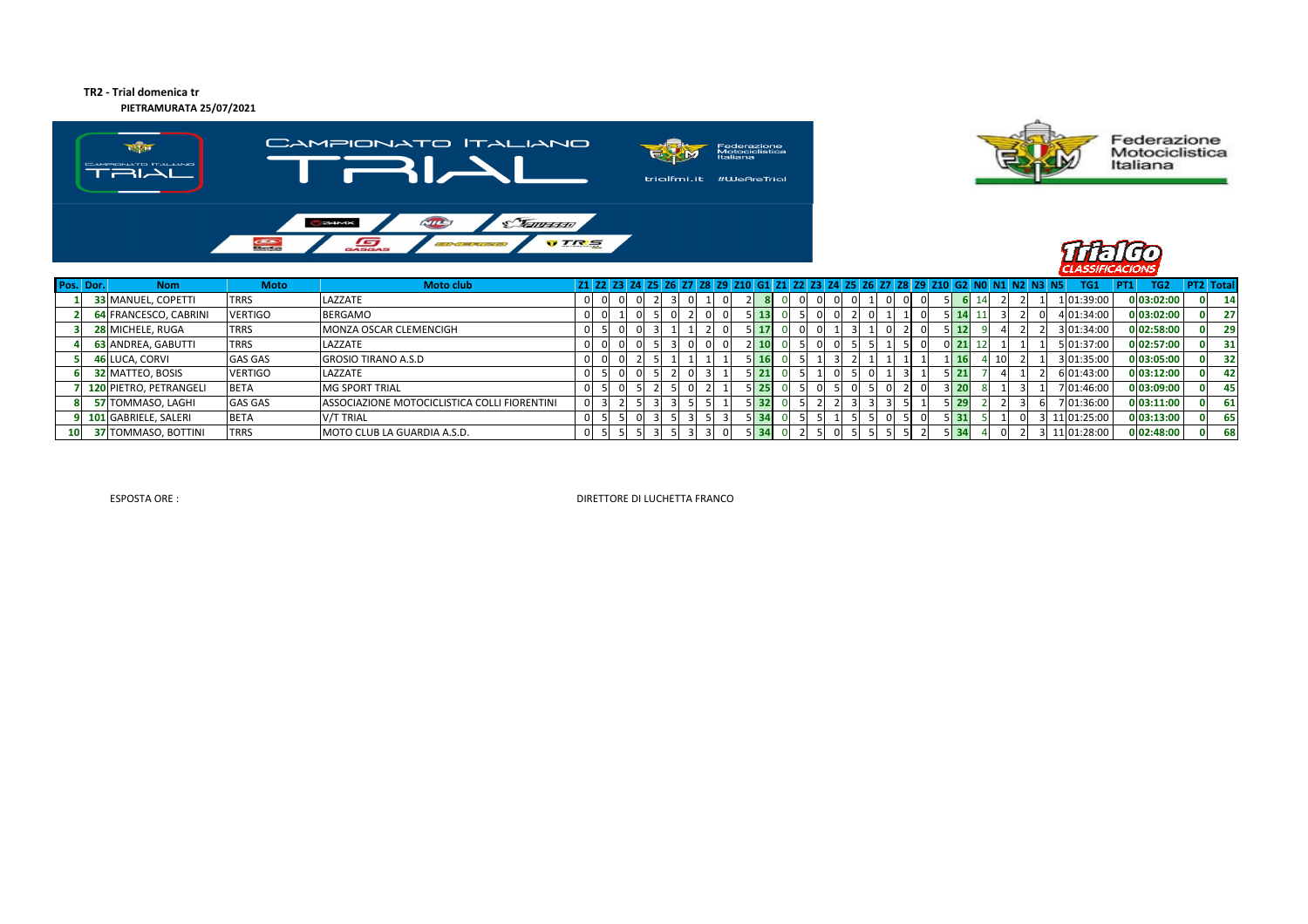## **TR2 - Trial domenica tr**

**PIETRAMURATA 25/07/2021**





Federazione<br>Motociclistica<br>Italiana



|                 | Pos. Dor. | <b>Nom</b>                 | <b>Moto</b>    | <b>Moto club</b>                             |   |  |  |    |  |              |                           |  |    |   | 21 22 23 24 25 26 27 28 29 210 61 21 22 23 24 25 26 27 28 29 210 62 NO N1 N2 N3 N5 |                    |    |     |  | TG1         | TG <sub>2</sub> | <b>PT2 Total</b> |           |
|-----------------|-----------|----------------------------|----------------|----------------------------------------------|---|--|--|----|--|--------------|---------------------------|--|----|---|------------------------------------------------------------------------------------|--------------------|----|-----|--|-------------|-----------------|------------------|-----------|
|                 |           | <b>33 MANUEL, COPETTI</b>  | <b>TRRS</b>    | LAZZATE                                      |   |  |  |    |  |              |                           |  |    |   |                                                                                    |                    |    |     |  | 1 01:39:00  | 0 03:02:00      |                  | 14        |
|                 |           | 64 FRANCESCO, CABRINI      | <b>VERTIGO</b> | <b>BERGAMO</b>                               |   |  |  | 01 |  |              | $5 \, 13$                 |  |    | 0 |                                                                                    |                    |    |     |  | 01:34:00    | 0 03:02:00      |                  | 27        |
|                 |           | 28 MICHELE, RUGA           | <b>TRRS</b>    | MONZA OSCAR CLEMENCIGH                       |   |  |  |    |  |              | $5 \, 17$                 |  |    |   |                                                                                    |                    |    |     |  | 3 01:34:00  | 0 02:58:00      |                  | 29        |
|                 |           | 63 ANDREA, GABUTTI         | <b>TRRS</b>    | LAZZATE                                      |   |  |  |    |  | <sup>o</sup> |                           |  |    |   |                                                                                    |                    |    |     |  | 5 01:37:00  | 0 02:57:00      |                  | 31        |
|                 |           | <b>46 LUCA, CORVI</b>      | <b>GAS GAS</b> | <b>GROSIO TIRANO A.S.D</b>                   |   |  |  |    |  |              | 5116                      |  | 3I |   |                                                                                    |                    | 16 | -10 |  | 3 01:35:00  | 0 03:05:00      |                  | <b>32</b> |
|                 |           | 32 MATTEO, BOSIS           | <b>VERTIGO</b> | LAZZATE                                      |   |  |  |    |  |              | 5   21                    |  |    |   |                                                                                    | । 21               |    |     |  | 6 01:43:00  | 0 03:12:00      |                  | 42        |
|                 |           | 120 PIETRO, PETRANGELI     | <b>BETA</b>    | <b>MG SPORT TRIAL</b>                        |   |  |  |    |  |              | 5125                      |  |    |   |                                                                                    |                    |    |     |  | 701:46:00   | 0 03:09:00      |                  | 45        |
|                 |           | 57 TOMMASO, LAGHI          | <b>GAS GAS</b> | ASSOCIAZIONE MOTOCICLISTICA COLLI FIORENTINI | 0 |  |  |    |  |              | $5 \overline{\smash{32}}$ |  |    |   |                                                                                    | $\blacksquare$ 29. |    |     |  | 01:36:00    | 0 03:11:00      |                  | 61        |
|                 |           | 101 GABRIELE, SALERI       | <b>BETA</b>    | V/T TRIAL                                    |   |  |  |    |  |              | 5 I 34                    |  |    |   |                                                                                    | l 31               |    |     |  | 11 01:25:00 | 0 03:13:00      |                  | <b>65</b> |
| 10 <sup>1</sup> |           | <b>37 TOMMASO, BOTTINI</b> | <b>TRRS</b>    | <b>MOTO CLUB LA GUARDIA A.S.D.</b>           | 0 |  |  |    |  |              | $5 \overline{34}$         |  |    |   |                                                                                    |                    |    |     |  | 11 01:28:00 | 0 02:48:00      |                  | 68        |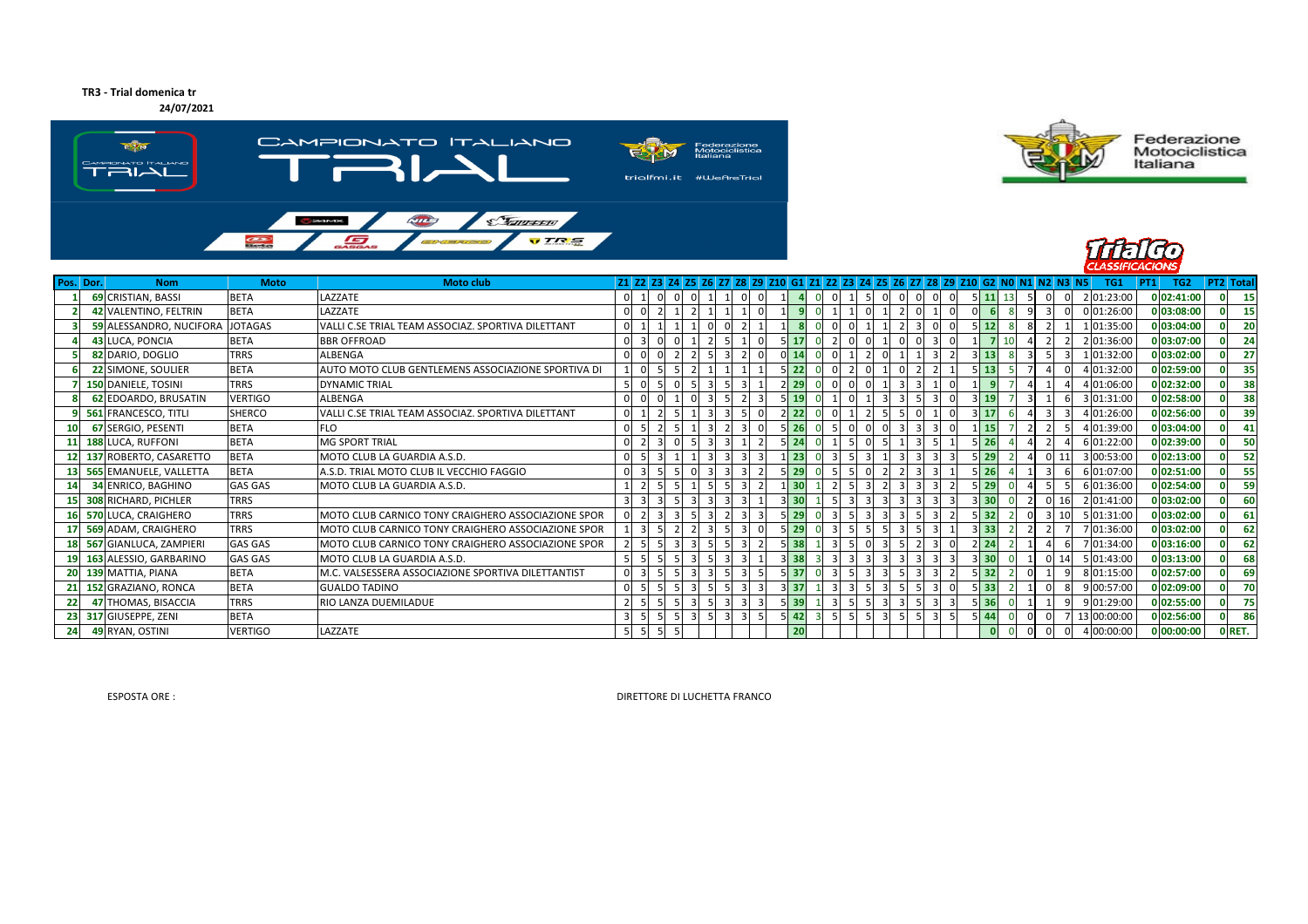## **TR3 - Trial domenica tr**

**24/07/2021**







| Pos. Dor. | <b>Nom</b>                      | <b>Moto</b>    | <b>Moto club</b>                                   |                |  |  | 21 22 23 24 25 26 27 28 29 210 61 21 22 23 24 25 26 27 28 29 210 62 NO N1 N2 N3 N5 |     |  |          |  |                            |    |                 |  | TG1         | TG <sub>2</sub><br> PT1 | <b>PT2</b> Total |
|-----------|---------------------------------|----------------|----------------------------------------------------|----------------|--|--|------------------------------------------------------------------------------------|-----|--|----------|--|----------------------------|----|-----------------|--|-------------|-------------------------|------------------|
|           | 69 CRISTIAN, BASSI              | <b>BETA</b>    | LAZZATE                                            | $\overline{0}$ |  |  |                                                                                    |     |  | $\Omega$ |  | $5 \vert 11$               | 13 |                 |  | 2 01:23:00  | 0 02:41:00              | - 15             |
|           | 42 VALENTINO, FELTRIN           | <b>BETA</b>    | LAZZATE                                            |                |  |  |                                                                                    |     |  |          |  |                            |    |                 |  | 0 01:26:00  | 03:08:00                | 15               |
|           | 59 ALESSANDRO, NUCIFORA JOTAGAS |                | VALLI C.SE TRIAL TEAM ASSOCIAZ. SPORTIVA DILETTANT |                |  |  |                                                                                    |     |  |          |  | 12                         |    |                 |  | 1 01:35:00  | 03:04:00                | 20               |
|           | 43 LUCA, PONCIA                 | <b>BETA</b>    | <b>BBR OFFROAD</b>                                 |                |  |  |                                                                                    |     |  |          |  |                            |    |                 |  | 2 01:36:00  | 0 03:07:00              | 24               |
|           | 82 DARIO, DOGLIO                | <b>TRRS</b>    | <b>ALBENGA</b>                                     |                |  |  |                                                                                    |     |  |          |  | 13<br>з                    |    |                 |  | 1 01:32:00  | 0 03:02:00              | 27               |
|           | 22 SIMONE, SOULIER              | <b>BETA</b>    | AUTO MOTO CLUB GENTLEMENS ASSOCIAZIONE SPORTIVA DI |                |  |  |                                                                                    |     |  |          |  | 13                         |    |                 |  | 4 01:32:00  | 0 02:59:00              | 35               |
|           | 150 DANIELE, TOSINI             | <b>TRRS</b>    | <b>DYNAMIC TRIAL</b>                               |                |  |  |                                                                                    | -29 |  |          |  |                            |    |                 |  | 01:06:00    | 02:32:00                | 38               |
|           | 62 EDOARDO, BRUSATIN            | <b>VERTIGO</b> | <b>ALBENGA</b>                                     |                |  |  |                                                                                    |     |  |          |  | 19                         |    |                 |  | 3 01:31:00  | 02:58:00                | 38               |
|           | 561 FRANCESCO, TITLI            | <b>SHERCO</b>  | VALLI C.SE TRIAL TEAM ASSOCIAZ. SPORTIVA DILETTANT |                |  |  |                                                                                    |     |  |          |  | 17                         |    |                 |  | 01:26:00    | 02:56:00                | 39               |
|           | 67 SERGIO, PESENTI              | <b>BETA</b>    | <b>FLO</b>                                         |                |  |  |                                                                                    |     |  |          |  | -15                        |    |                 |  | 01:39:00    | 03:04:00                | 41               |
|           | 188 LUCA, RUFFONI               | <b>BETA</b>    | <b>MG SPORT TRIAL</b>                              |                |  |  |                                                                                    |     |  |          |  | 26                         |    |                 |  | 6 01:22:00  | 0 02:39:00              | 50               |
|           | 137 ROBERTO, CASARETTO          | <b>BETA</b>    | MOTO CLUB LA GUARDIA A.S.D.                        |                |  |  |                                                                                    |     |  |          |  | 29                         |    |                 |  | 3 00:53:00  | 0 02:13:00              | -52              |
|           | 565 EMANUELE, VALLETTA          | <b>BETA</b>    | A.S.D. TRIAL MOTO CLUB IL VECCHIO FAGGIO           |                |  |  |                                                                                    |     |  |          |  | 26                         |    |                 |  | 6 01:07:00  | 02:51:00                | 55               |
|           | 34 ENRICO, BAGHINO              | <b>GAS GAS</b> | MOTO CLUB LA GUARDIA A.S.D.                        |                |  |  |                                                                                    |     |  |          |  | 29                         |    |                 |  | 6 01:36:00  | 0 02:54:00              | 59               |
|           | 308 RICHARD, PICHLER            | <b>TRRS</b>    |                                                    |                |  |  |                                                                                    |     |  |          |  | 30                         |    |                 |  | 2 01:41:00  | 03:02:00                | 60               |
|           | 570 LUCA, CRAIGHERO             | <b>TRRS</b>    | MOTO CLUB CARNICO TONY CRAIGHERO ASSOCIAZIONE SPOR |                |  |  |                                                                                    |     |  |          |  | 32                         |    |                 |  | 01:31:00    | 0 03:02:00              | 61               |
|           | 569 ADAM, CRAIGHERO             | <b>TRRS</b>    | MOTO CLUB CARNICO TONY CRAIGHERO ASSOCIAZIONE SPOR |                |  |  |                                                                                    |     |  |          |  | 33                         |    |                 |  | 7 01:36:00  | 03:02:00                | 62               |
|           | 567 GIANLUCA, ZAMPIERI          | <b>GAS GAS</b> | MOTO CLUB CARNICO TONY CRAIGHERO ASSOCIAZIONE SPOR |                |  |  |                                                                                    |     |  |          |  | 24                         |    |                 |  | 01:34:00    | 0 03:16:00              | 62               |
|           | 163 ALESSIO, GARBARINO          | <b>GAS GAS</b> | MOTO CLUB LA GUARDIA A.S.D.                        |                |  |  |                                                                                    |     |  |          |  | $3 \overline{\smash{)}30}$ |    | 0 <sub>14</sub> |  | 5 01:43:00  | 0 03:13:00              | 68               |
|           | 139 MATTIA, PIANA               | <b>BETA</b>    | M.C. VALSESSERA ASSOCIAZIONE SPORTIVA DILETTANTIST |                |  |  |                                                                                    |     |  |          |  | 32                         |    |                 |  | 8 01:15:00  | 0 02:57:00              | 69               |
|           | 152 GRAZIANO, RONCA             | <b>BETA</b>    | <b>GUALDO TADINO</b>                               |                |  |  |                                                                                    |     |  |          |  | 33                         |    |                 |  | 9 00:57:00  | 02:09:00                | 70               |
|           | 47 THOMAS, BISACCIA             | <b>TRRS</b>    | RIO LANZA DUEMILADUE                               |                |  |  |                                                                                    |     |  |          |  | 36                         |    |                 |  | 01:29:00    | 02:55:00                | 75               |
|           | 317 GIUSEPPE, ZENI              | <b>BETA</b>    |                                                    |                |  |  |                                                                                    |     |  |          |  | 44                         |    |                 |  | 13 00:00:00 | 02:56:00                | 86               |
|           | 49 RYAN, OSTINI                 | <b>VERTIGO</b> | LAZZATE                                            |                |  |  |                                                                                    | 20  |  |          |  |                            |    |                 |  | 00:00:00    | 0,00:00:00              | O RET.           |